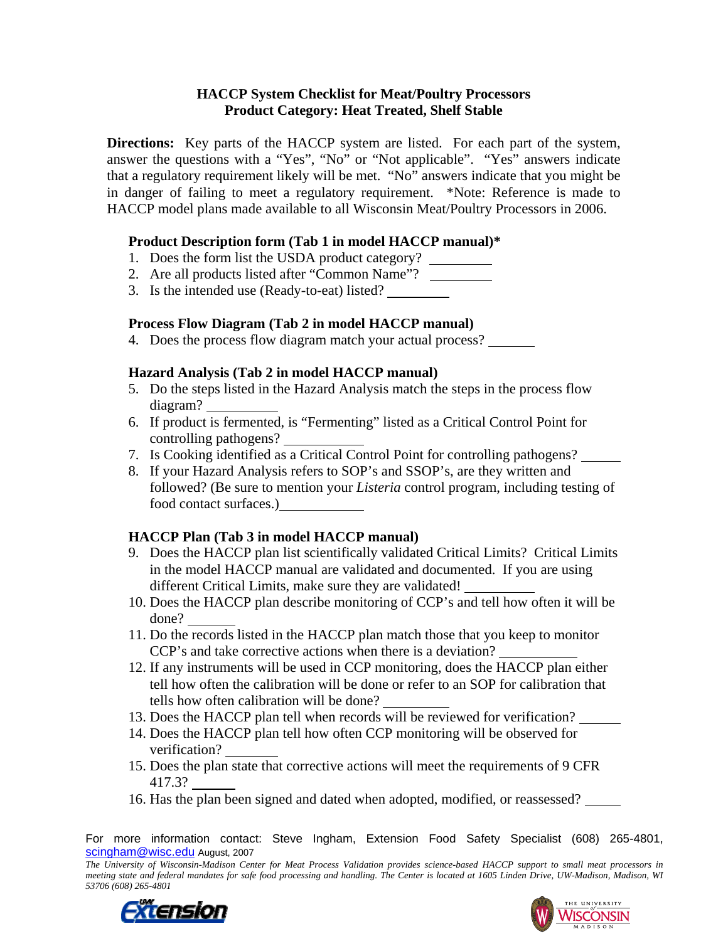## **HACCP System Checklist for Meat/Poultry Processors Product Category: Heat Treated, Shelf Stable**

**Directions:** Key parts of the HACCP system are listed. For each part of the system, answer the questions with a "Yes", "No" or "Not applicable". "Yes" answers indicate that a regulatory requirement likely will be met. "No" answers indicate that you might be in danger of failing to meet a regulatory requirement. \*Note: Reference is made to HACCP model plans made available to all Wisconsin Meat/Poultry Processors in 2006.

# **Product Description form (Tab 1 in model HACCP manual)\***

- 1. Does the form list the USDA product category?
- 2. Are all products listed after "Common Name"?
- 3. Is the intended use (Ready-to-eat) listed?

# **Process Flow Diagram (Tab 2 in model HACCP manual)**

4. Does the process flow diagram match your actual process?

# **Hazard Analysis (Tab 2 in model HACCP manual)**

- 5. Do the steps listed in the Hazard Analysis match the steps in the process flow diagram?
- 6. If product is fermented, is "Fermenting" listed as a Critical Control Point for controlling pathogens?
- 7. Is Cooking identified as a Critical Control Point for controlling pathogens?
- 8. If your Hazard Analysis refers to SOP's and SSOP's, are they written and followed? (Be sure to mention your *Listeria* control program, including testing of food contact surfaces.)

# **HACCP Plan (Tab 3 in model HACCP manual)**

- 9. Does the HACCP plan list scientifically validated Critical Limits? Critical Limits in the model HACCP manual are validated and documented. If you are using different Critical Limits, make sure they are validated!
- 10. Does the HACCP plan describe monitoring of CCP's and tell how often it will be done?
- 11. Do the records listed in the HACCP plan match those that you keep to monitor CCP's and take corrective actions when there is a deviation?
- 12. If any instruments will be used in CCP monitoring, does the HACCP plan either tell how often the calibration will be done or refer to an SOP for calibration that tells how often calibration will be done?
- 13. Does the HACCP plan tell when records will be reviewed for verification?
- 14. Does the HACCP plan tell how often CCP monitoring will be observed for verification?
- 15. Does the plan state that corrective actions will meet the requirements of 9 CFR 417.3?
- 16. Has the plan been signed and dated when adopted, modified, or reassessed?

For more information contact: Steve Ingham, Extension Food Safety Specialist (608) 265-4801, scingham@wisc.edu August, 2007

*The University of Wisconsin-Madison Center for Meat Process Validation provides science-based HACCP support to small meat processors in meeting state and federal mandates for safe food processing and handling. The Center is located at 1605 Linden Drive, UW-Madison, Madison, WI 53706 (608) 265-4801*